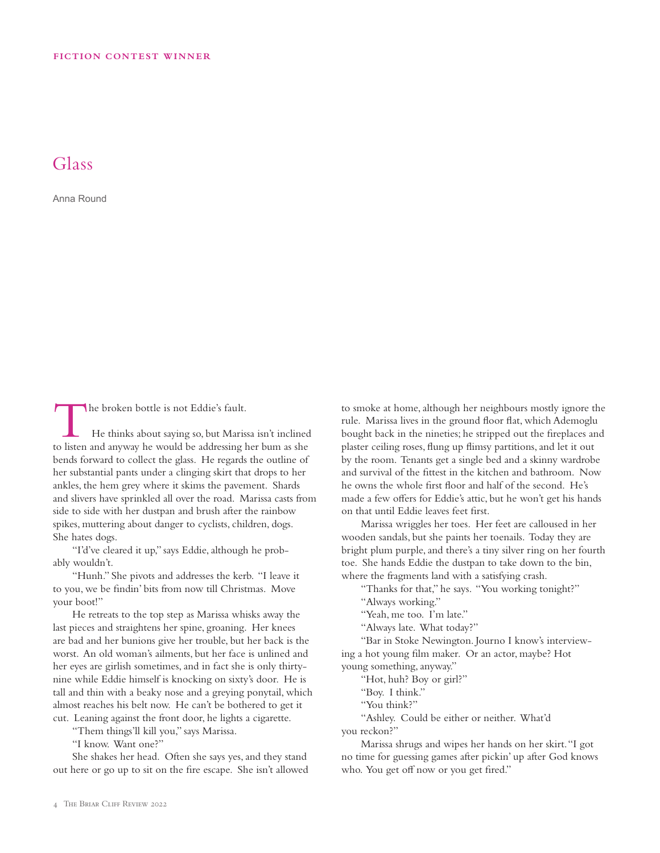#### Glass

Anna Round

The broken bottle is not Eddie's fault.

He thinks about saying so, but Marissa isn't inclined to listen and anyway he would be addressing her bum as she bends forward to collect the glass. He regards the outline of her substantial pants under a clinging skirt that drops to her ankles, the hem grey where it skims the pavement. Shards and slivers have sprinkled all over the road. Marissa casts from side to side with her dustpan and brush after the rainbow spikes, muttering about danger to cyclists, children, dogs. She hates dogs.

"I'd've cleared it up," says Eddie, although he probably wouldn't.

"Hunh." She pivots and addresses the kerb. "I leave it to you, we be findin' bits from now till Christmas. Move your boot!"

He retreats to the top step as Marissa whisks away the last pieces and straightens her spine, groaning. Her knees are bad and her bunions give her trouble, but her back is the worst. An old woman's ailments, but her face is unlined and her eyes are girlish sometimes, and in fact she is only thirtynine while Eddie himself is knocking on sixty's door. He is tall and thin with a beaky nose and a greying ponytail, which almost reaches his belt now. He can't be bothered to get it cut. Leaning against the front door, he lights a cigarette.

"Them things'll kill you," says Marissa.

"I know. Want one?"

She shakes her head. Often she says yes, and they stand out here or go up to sit on the fire escape. She isn't allowed to smoke at home, although her neighbours mostly ignore the rule. Marissa lives in the ground floor flat, which Ademoglu bought back in the nineties; he stripped out the fireplaces and plaster ceiling roses, flung up flimsy partitions, and let it out by the room. Tenants get a single bed and a skinny wardrobe and survival of the fittest in the kitchen and bathroom. Now he owns the whole first floor and half of the second. He's made a few offers for Eddie's attic, but he won't get his hands on that until Eddie leaves feet first.

Marissa wriggles her toes. Her feet are calloused in her wooden sandals, but she paints her toenails. Today they are bright plum purple, and there's a tiny silver ring on her fourth toe. She hands Eddie the dustpan to take down to the bin, where the fragments land with a satisfying crash.

"Thanks for that," he says. "You working tonight?"

"Always working."

"Yeah, me too. I'm late."

"Always late. What today?"

"Bar in Stoke Newington. Journo I know's interviewing a hot young film maker. Or an actor, maybe? Hot young something, anyway."

"Hot, huh? Boy or girl?"

"Boy. I think."

"You think?"

"Ashley. Could be either or neither. What'd you reckon?"

Marissa shrugs and wipes her hands on her skirt. "I got no time for guessing games after pickin' up after God knows who. You get off now or you get fired."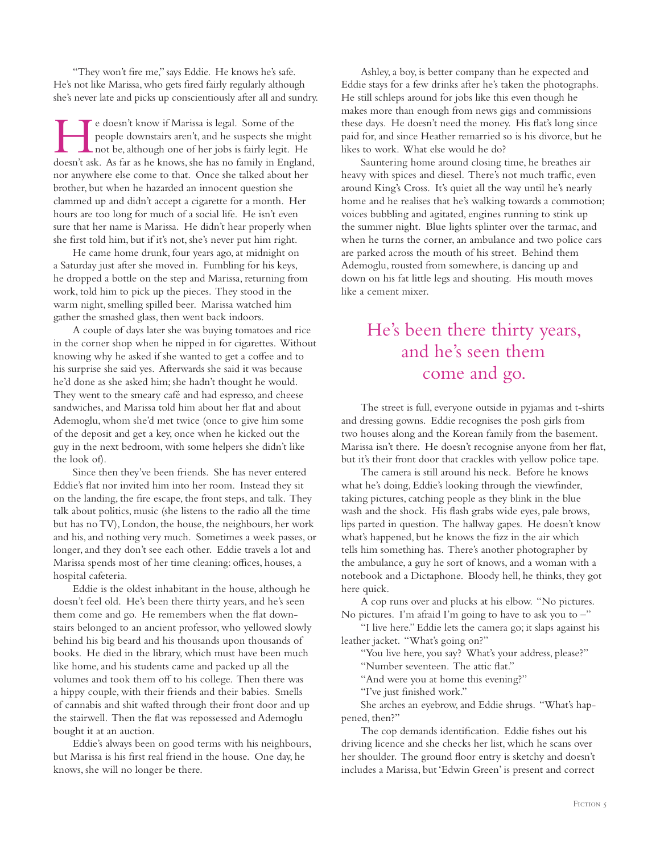"They won't fire me," says Eddie. He knows he's safe. He's not like Marissa, who gets fired fairly regularly although she's never late and picks up conscientiously after all and sundry.

Expedience of the three is legal. Some of the people downstairs aren't, and he suspects she might not be, although one of her jobs is fairly legit. He doesn't ask as far as he knows she has no family in England people downstairs aren't, and he suspects she might doesn't ask. As far as he knows, she has no family in England, nor anywhere else come to that. Once she talked about her brother, but when he hazarded an innocent question she clammed up and didn't accept a cigarette for a month. Her hours are too long for much of a social life. He isn't even sure that her name is Marissa. He didn't hear properly when she first told him, but if it's not, she's never put him right.

He came home drunk, four years ago, at midnight on a Saturday just after she moved in. Fumbling for his keys, he dropped a bottle on the step and Marissa, returning from work, told him to pick up the pieces. They stood in the warm night, smelling spilled beer. Marissa watched him gather the smashed glass, then went back indoors.

A couple of days later she was buying tomatoes and rice in the corner shop when he nipped in for cigarettes. Without knowing why he asked if she wanted to get a coffee and to his surprise she said yes. Afterwards she said it was because he'd done as she asked him; she hadn't thought he would. They went to the smeary café and had espresso, and cheese sandwiches, and Marissa told him about her flat and about Ademoglu, whom she'd met twice (once to give him some of the deposit and get a key, once when he kicked out the guy in the next bedroom, with some helpers she didn't like the look of).

Since then they've been friends. She has never entered Eddie's flat nor invited him into her room. Instead they sit on the landing, the fire escape, the front steps, and talk. They talk about politics, music (she listens to the radio all the time but has no TV), London, the house, the neighbours, her work and his, and nothing very much. Sometimes a week passes, or longer, and they don't see each other. Eddie travels a lot and Marissa spends most of her time cleaning: offices, houses, a hospital cafeteria.

Eddie is the oldest inhabitant in the house, although he doesn't feel old. He's been there thirty years, and he's seen them come and go. He remembers when the flat downstairs belonged to an ancient professor, who yellowed slowly behind his big beard and his thousands upon thousands of books. He died in the library, which must have been much like home, and his students came and packed up all the volumes and took them off to his college. Then there was a hippy couple, with their friends and their babies. Smells of cannabis and shit wafted through their front door and up the stairwell. Then the flat was repossessed and Ademoglu bought it at an auction.

Eddie's always been on good terms with his neighbours, but Marissa is his first real friend in the house. One day, he knows, she will no longer be there.

Ashley, a boy, is better company than he expected and Eddie stays for a few drinks after he's taken the photographs. He still schleps around for jobs like this even though he makes more than enough from news gigs and commissions these days. He doesn't need the money. His flat's long since paid for, and since Heather remarried so is his divorce, but he likes to work. What else would he do?

Sauntering home around closing time, he breathes air heavy with spices and diesel. There's not much traffic, even around King's Cross. It's quiet all the way until he's nearly home and he realises that he's walking towards a commotion; voices bubbling and agitated, engines running to stink up the summer night. Blue lights splinter over the tarmac, and when he turns the corner, an ambulance and two police cars are parked across the mouth of his street. Behind them Ademoglu, rousted from somewhere, is dancing up and down on his fat little legs and shouting. His mouth moves like a cement mixer.

### He's been there thirty years, and he's seen them come and go.

The street is full, everyone outside in pyjamas and t-shirts and dressing gowns. Eddie recognises the posh girls from two houses along and the Korean family from the basement. Marissa isn't there. He doesn't recognise anyone from her flat, but it's their front door that crackles with yellow police tape.

The camera is still around his neck. Before he knows what he's doing, Eddie's looking through the viewfinder, taking pictures, catching people as they blink in the blue wash and the shock. His flash grabs wide eyes, pale brows, lips parted in question. The hallway gapes. He doesn't know what's happened, but he knows the fizz in the air which tells him something has. There's another photographer by the ambulance, a guy he sort of knows, and a woman with a notebook and a Dictaphone. Bloody hell, he thinks, they got here quick.

A cop runs over and plucks at his elbow. "No pictures. No pictures. I'm afraid I'm going to have to ask you to  $-$ "

"I live here." Eddie lets the camera go; it slaps against his leather jacket. "What's going on?"

"You live here, you say? What's your address, please?"

"Number seventeen. The attic flat."

"And were you at home this evening?"

"I've just finished work."

She arches an eyebrow, and Eddie shrugs. "What's happened, then?"

The cop demands identification. Eddie fishes out his driving licence and she checks her list, which he scans over her shoulder. The ground floor entry is sketchy and doesn't includes a Marissa, but 'Edwin Green' is present and correct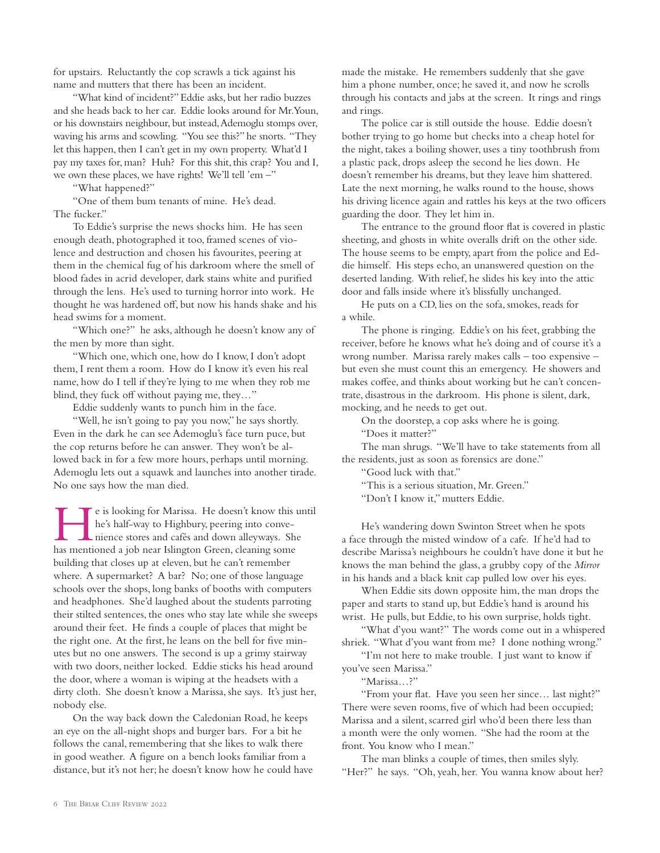for upstairs. Reluctantly the cop scrawls a tick against his name and mutters that there has been an incident.

"What kind of incident?" Eddie asks, but her radio buzzes and she heads back to her car. Eddie looks around for Mr. Youn, or his downstairs neighbour, but instead, Ademoglu stomps over, waving his arms and scowling. "You see this?" he snorts. "They let this happen, then I can't get in my own property. What'd I pay my taxes for, man? Huh? For this shit, this crap? You and I, we own these places, we have rights! We'll tell 'em  $-$ "

"What happened?"

"One of them bum tenants of mine. He's dead. The fucker."

To Eddie's surprise the news shocks him. He has seen enough death, photographed it too, framed scenes of violence and destruction and chosen his favourites, peering at them in the chemical fug of his darkroom where the smell of blood fades in acrid developer, dark stains white and purified through the lens. He's used to turning horror into work. He thought he was hardened off, but now his hands shake and his head swims for a moment.

"Which one?" he asks, although he doesn't know any of the men by more than sight.

"Which one, which one, how do I know, I don't adopt them, I rent them a room. How do I know it's even his real name, how do I tell if they're lying to me when they rob me blind, they fuck off without paying me, they…"

Eddie suddenly wants to punch him in the face.

"Well, he isn't going to pay you now," he says shortly. Even in the dark he can see Ademoglu's face turn puce, but the cop returns before he can answer. They won't be allowed back in for a few more hours, perhaps until morning. Ademoglu lets out a squawk and launches into another tirade. No one says how the man died.

e is looking for Marissa. He doesn't know this until he's half-way to Highbury, peering into convenience stores and cafés and down alleyways. She has mentioned a job near Islington Green, cleaning some building that closes up at eleven, but he can't remember where. A supermarket? A bar? No; one of those language schools over the shops, long banks of booths with computers and headphones. She'd laughed about the students parroting their stilted sentences, the ones who stay late while she sweeps around their feet. He finds a couple of places that might be the right one. At the first, he leans on the bell for five minutes but no one answers. The second is up a grimy stairway with two doors, neither locked. Eddie sticks his head around the door, where a woman is wiping at the headsets with a dirty cloth. She doesn't know a Marissa, she says. It's just her, nobody else.

On the way back down the Caledonian Road, he keeps an eye on the all-night shops and burger bars. For a bit he follows the canal, remembering that she likes to walk there in good weather. A figure on a bench looks familiar from a distance, but it's not her; he doesn't know how he could have made the mistake. He remembers suddenly that she gave him a phone number, once; he saved it, and now he scrolls through his contacts and jabs at the screen. It rings and rings and rings.

The police car is still outside the house. Eddie doesn't bother trying to go home but checks into a cheap hotel for the night, takes a boiling shower, uses a tiny toothbrush from a plastic pack, drops asleep the second he lies down. He doesn't remember his dreams, but they leave him shattered. Late the next morning, he walks round to the house, shows his driving licence again and rattles his keys at the two officers guarding the door. They let him in.

The entrance to the ground floor flat is covered in plastic sheeting, and ghosts in white overalls drift on the other side. The house seems to be empty, apart from the police and Eddie himself. His steps echo, an unanswered question on the deserted landing. With relief, he slides his key into the attic door and falls inside where it's blissfully unchanged.

He puts on a CD, lies on the sofa, smokes, reads for a while.

The phone is ringing. Eddie's on his feet, grabbing the receiver, before he knows what he's doing and of course it's a wrong number. Marissa rarely makes calls – too expensive – but even she must count this an emergency. He showers and makes coffee, and thinks about working but he can't concentrate, disastrous in the darkroom. His phone is silent, dark, mocking, and he needs to get out.

On the doorstep, a cop asks where he is going.

"Does it matter?"

The man shrugs. "We'll have to take statements from all the residents, just as soon as forensics are done."

"Good luck with that."

"This is a serious situation, Mr. Green."

"Don't I know it," mutters Eddie.

He's wandering down Swinton Street when he spots a face through the misted window of a cafe. If he'd had to describe Marissa's neighbours he couldn't have done it but he knows the man behind the glass, a grubby copy of the *Mirror* in his hands and a black knit cap pulled low over his eyes.

When Eddie sits down opposite him, the man drops the paper and starts to stand up, but Eddie's hand is around his wrist. He pulls, but Eddie, to his own surprise, holds tight.

"What d'you want?" The words come out in a whispered shriek. "What d'you want from me? I done nothing wrong."

"I'm not here to make trouble. I just want to know if you've seen Marissa."

"Marissa…?"

"From your flat. Have you seen her since… last night?" There were seven rooms, five of which had been occupied; Marissa and a silent, scarred girl who'd been there less than a month were the only women. "She had the room at the front. You know who I mean."

The man blinks a couple of times, then smiles slyly. "Her?" he says. "Oh, yeah, her. You wanna know about her?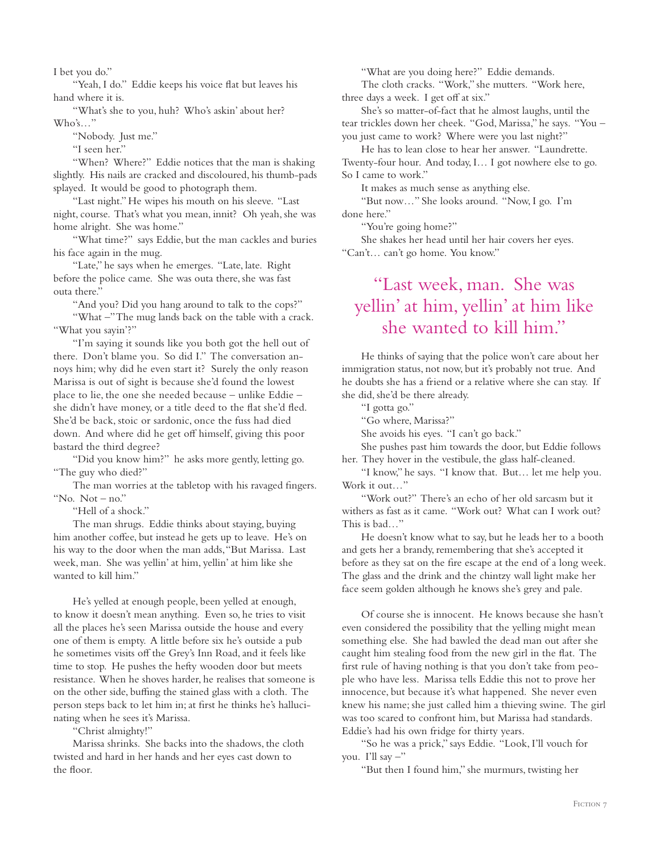I bet you do."

"Yeah, I do." Eddie keeps his voice flat but leaves his hand where it is.

"What's she to you, huh? Who's askin' about her? Who's…"

"Nobody. Just me."

"I seen her."

"When? Where?" Eddie notices that the man is shaking slightly. His nails are cracked and discoloured, his thumb-pads splayed. It would be good to photograph them.

"Last night." He wipes his mouth on his sleeve. "Last night, course. That's what you mean, innit? Oh yeah, she was home alright. She was home."

"What time?" says Eddie, but the man cackles and buries his face again in the mug.

"Late," he says when he emerges. "Late, late. Right before the police came. She was outa there, she was fast outa there."

"And you? Did you hang around to talk to the cops?"

"What –" The mug lands back on the table with a crack. "What you sayin'?"

"I'm saying it sounds like you both got the hell out of there. Don't blame you. So did I." The conversation annoys him; why did he even start it? Surely the only reason Marissa is out of sight is because she'd found the lowest place to lie, the one she needed because – unlike Eddie – she didn't have money, or a title deed to the flat she'd fled. She'd be back, stoic or sardonic, once the fuss had died down. And where did he get off himself, giving this poor bastard the third degree?

"Did you know him?" he asks more gently, letting go. "The guy who died?"

The man worries at the tabletop with his ravaged fingers. "No. Not –  $no$ ."

"Hell of a shock."

The man shrugs. Eddie thinks about staying, buying him another coffee, but instead he gets up to leave. He's on his way to the door when the man adds, "But Marissa. Last week, man. She was yellin' at him, yellin' at him like she wanted to kill him."

He's yelled at enough people, been yelled at enough, to know it doesn't mean anything. Even so, he tries to visit all the places he's seen Marissa outside the house and every one of them is empty. A little before six he's outside a pub he sometimes visits off the Grey's Inn Road, and it feels like time to stop. He pushes the hefty wooden door but meets resistance. When he shoves harder, he realises that someone is on the other side, buffing the stained glass with a cloth. The person steps back to let him in; at first he thinks he's hallucinating when he sees it's Marissa.

"Christ almighty!"

Marissa shrinks. She backs into the shadows, the cloth twisted and hard in her hands and her eyes cast down to the floor.

"What are you doing here?" Eddie demands.

The cloth cracks. "Work," she mutters. "Work here, three days a week. I get off at six."

She's so matter-of-fact that he almost laughs, until the tear trickles down her cheek. "God, Marissa," he says. "You – you just came to work? Where were you last night?"

He has to lean close to hear her answer. "Laundrette. Twenty-four hour. And today, I… I got nowhere else to go. So I came to work."

It makes as much sense as anything else.

"But now…" She looks around. "Now, I go. I'm done here."

"You're going home?"

She shakes her head until her hair covers her eyes. "Can't… can't go home. You know."

## "Last week, man. She was yellin' at him, yellin' at him like she wanted to kill him."

He thinks of saying that the police won't care about her immigration status, not now, but it's probably not true. And he doubts she has a friend or a relative where she can stay. If she did, she'd be there already.

"I gotta go."

"Go where, Marissa?"

She avoids his eyes. "I can't go back."

She pushes past him towards the door, but Eddie follows her. They hover in the vestibule, the glass half-cleaned.

"I know," he says. "I know that. But… let me help you. Work it out…"

"Work out?" There's an echo of her old sarcasm but it withers as fast as it came. "Work out? What can I work out? This is bad…"

He doesn't know what to say, but he leads her to a booth and gets her a brandy, remembering that she's accepted it before as they sat on the fire escape at the end of a long week. The glass and the drink and the chintzy wall light make her face seem golden although he knows she's grey and pale.

Of course she is innocent. He knows because she hasn't even considered the possibility that the yelling might mean something else. She had bawled the dead man out after she caught him stealing food from the new girl in the flat. The first rule of having nothing is that you don't take from people who have less. Marissa tells Eddie this not to prove her innocence, but because it's what happened. She never even knew his name; she just called him a thieving swine. The girl was too scared to confront him, but Marissa had standards. Eddie's had his own fridge for thirty years.

"So he was a prick," says Eddie. "Look, I'll vouch for you. I'll say  $-$ "

"But then I found him," she murmurs, twisting her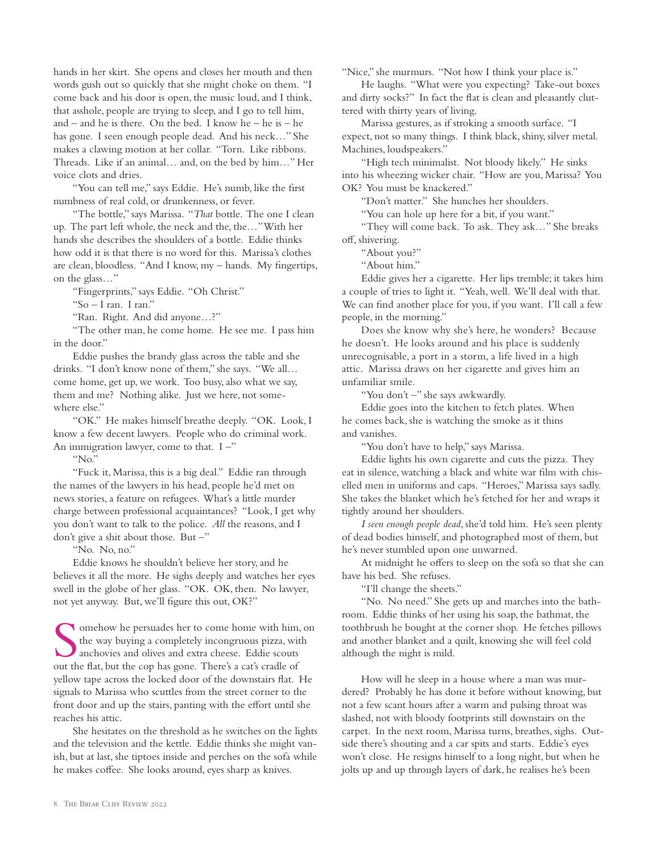hands in her skirt. She opens and closes her mouth and then words gush out so quickly that she might choke on them. "I come back and his door is open, the music loud, and I think, that asshole, people are trying to sleep, and I go to tell him, and – and he is there. On the bed. I know he – he is – he has gone. I seen enough people dead. And his neck…" She makes a clawing motion at her collar. "Torn. Like ribbons. Threads. Like if an animal… and, on the bed by him…" Her voice clots and dries.

"You can tell me," says Eddie. He's numb, like the first numbness of real cold, or drunkenness, or fever.

"The bottle," says Marissa. "*That* bottle. The one I clean up. The part left whole, the neck and the, the…" With her hands she describes the shoulders of a bottle. Eddie thinks how odd it is that there is no word for this. Marissa's clothes are clean, bloodless. "And I know, my – hands. My fingertips, on the glass…"

"Fingerprints," says Eddie. "Oh Christ."

"So – I ran. I ran."

"Ran. Right. And did anyone…?"

"The other man, he come home. He see me. I pass him in the door."

Eddie pushes the brandy glass across the table and she drinks. "I don't know none of them," she says. "We all… come home, get up, we work. Too busy, also what we say, them and me? Nothing alike. Just we here, not somewhere else."

"OK." He makes himself breathe deeply. "OK. Look, I know a few decent lawyers. People who do criminal work. An immigration lawyer, come to that.  $I -$ "

"No."

"Fuck it, Marissa, this is a big deal." Eddie ran through the names of the lawyers in his head, people he'd met on news stories, a feature on refugees. What's a little murder charge between professional acquaintances? "Look, I get why you don't want to talk to the police. *All* the reasons, and I don't give a shit about those. But –"

"No. No, no."

Eddie knows he shouldn't believe her story, and he believes it all the more. He sighs deeply and watches her eyes swell in the globe of her glass. "OK. OK, then. No lawyer, not yet anyway. But, we'll figure this out, OK?"

Somehow he persuades her to come home with him, on<br>the way buying a completely incongruous pizza, with<br>anchovies and olives and extra cheese. Eddie scouts<br>out the flat but the con has gone. There's a cat's cradle of the way buying a completely incongruous pizza, with anchovies and olives and extra cheese. Eddie scouts out the flat, but the cop has gone. There's a cat's cradle of yellow tape across the locked door of the downstairs flat. He signals to Marissa who scuttles from the street corner to the front door and up the stairs, panting with the effort until she reaches his attic.

She hesitates on the threshold as he switches on the lights and the television and the kettle. Eddie thinks she might vanish, but at last, she tiptoes inside and perches on the sofa while he makes coffee. She looks around, eyes sharp as knives.

"Nice," she murmurs. "Not how I think your place is."

He laughs. "What were you expecting? Take-out boxes and dirty socks?" In fact the flat is clean and pleasantly cluttered with thirty years of living.

Marissa gestures, as if stroking a smooth surface. "I expect, not so many things. I think black, shiny, silver metal. Machines, loudspeakers."

"High tech minimalist. Not bloody likely." He sinks into his wheezing wicker chair. "How are you, Marissa? You OK? You must be knackered."

"Don't matter." She hunches her shoulders.

"You can hole up here for a bit, if you want."

"They will come back. To ask. They ask…" She breaks off, shivering.

"About you?"

"About him."

Eddie gives her a cigarette. Her lips tremble; it takes him a couple of tries to light it. "Yeah, well. We'll deal with that. We can find another place for you, if you want. I'll call a few people, in the morning."

Does she know why she's here, he wonders? Because he doesn't. He looks around and his place is suddenly unrecognisable, a port in a storm, a life lived in a high attic. Marissa draws on her cigarette and gives him an unfamiliar smile.

"You don't –" she says awkwardly.

Eddie goes into the kitchen to fetch plates. When he comes back, she is watching the smoke as it thins and vanishes.

"You don't have to help," says Marissa.

Eddie lights his own cigarette and cuts the pizza. They eat in silence, watching a black and white war film with chiselled men in uniforms and caps. "Heroes," Marissa says sadly. She takes the blanket which he's fetched for her and wraps it tightly around her shoulders.

*I seen enough people dead*, she'd told him. He's seen plenty of dead bodies himself, and photographed most of them, but he's never stumbled upon one unwarned.

At midnight he offers to sleep on the sofa so that she can have his bed. She refuses.

"I'll change the sheets."

"No. No need." She gets up and marches into the bathroom. Eddie thinks of her using his soap, the bathmat, the toothbrush he bought at the corner shop. He fetches pillows and another blanket and a quilt, knowing she will feel cold although the night is mild.

How will he sleep in a house where a man was murdered? Probably he has done it before without knowing, but not a few scant hours after a warm and pulsing throat was slashed, not with bloody footprints still downstairs on the carpet. In the next room, Marissa turns, breathes, sighs. Outside there's shouting and a car spits and starts. Eddie's eyes won't close. He resigns himself to a long night, but when he jolts up and up through layers of dark, he realises he's been